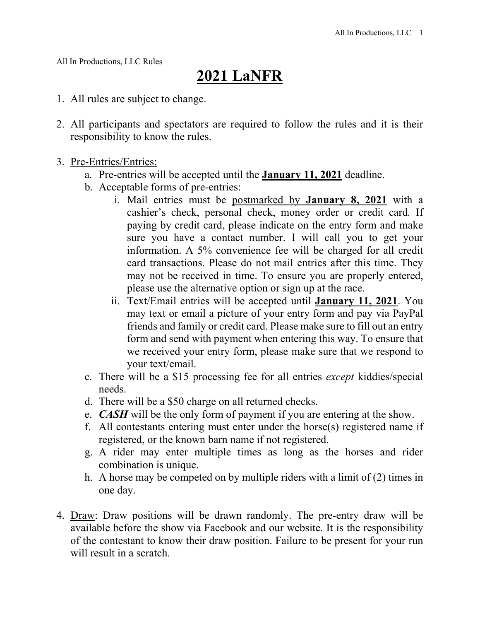All In Productions, LLC Rules

## **2021 LaNFR**

- 1. All rules are subject to change.
- 2. All participants and spectators are required to follow the rules and it is their responsibility to know the rules.
- 3. Pre-Entries/Entries:
	- a. Pre-entries will be accepted until the **January 11, 2021** deadline.
	- b. Acceptable forms of pre-entries:
		- i. Mail entries must be postmarked by **January 8, 2021** with a cashier's check, personal check, money order or credit card*.* If paying by credit card, please indicate on the entry form and make sure you have a contact number. I will call you to get your information. A 5% convenience fee will be charged for all credit card transactions. Please do not mail entries after this time. They may not be received in time. To ensure you are properly entered, please use the alternative option or sign up at the race.
		- ii. Text/Email entries will be accepted until **January 11, 2021**. You may text or email a picture of your entry form and pay via PayPal friends and family or credit card. Please make sure to fill out an entry form and send with payment when entering this way. To ensure that we received your entry form, please make sure that we respond to your text/email.
	- c. There will be a \$15 processing fee for all entries *except* kiddies/special needs.
	- d. There will be a \$50 charge on all returned checks.
	- e. *CASH* will be the only form of payment if you are entering at the show.
	- f. All contestants entering must enter under the horse(s) registered name if registered, or the known barn name if not registered.
	- g. A rider may enter multiple times as long as the horses and rider combination is unique.
	- h. A horse may be competed on by multiple riders with a limit of (2) times in one day.
- 4. Draw: Draw positions will be drawn randomly. The pre-entry draw will be available before the show via Facebook and our website. It is the responsibility of the contestant to know their draw position. Failure to be present for your run will result in a scratch.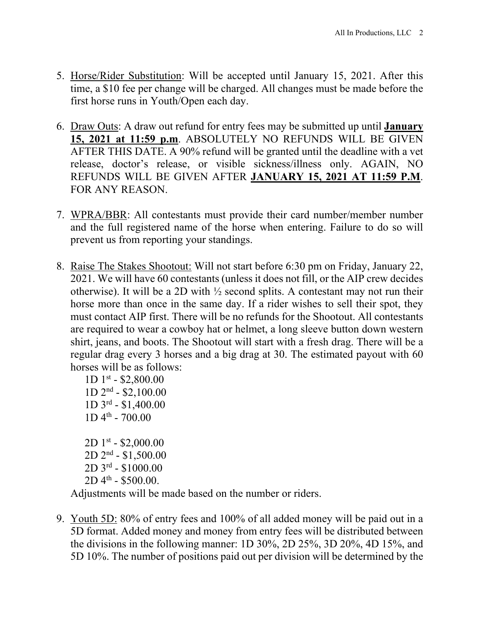- 5. Horse/Rider Substitution: Will be accepted until January 15, 2021. After this time, a \$10 fee per change will be charged. All changes must be made before the first horse runs in Youth/Open each day.
- 6. Draw Outs: A draw out refund for entry fees may be submitted up until **January 15, 2021 at 11:59 p.m**. ABSOLUTELY NO REFUNDS WILL BE GIVEN AFTER THIS DATE. A 90% refund will be granted until the deadline with a vet release, doctor's release, or visible sickness/illness only. AGAIN, NO REFUNDS WILL BE GIVEN AFTER **JANUARY 15, 2021 AT 11:59 P.M**. FOR ANY REASON.
- 7. WPRA/BBR: All contestants must provide their card number/member number and the full registered name of the horse when entering. Failure to do so will prevent us from reporting your standings.
- 8. Raise The Stakes Shootout: Will not start before 6:30 pm on Friday, January 22, 2021. We will have 60 contestants (unless it does not fill, or the AIP crew decides otherwise). It will be a 2D with  $\frac{1}{2}$  second splits. A contestant may not run their horse more than once in the same day. If a rider wishes to sell their spot, they must contact AIP first. There will be no refunds for the Shootout. All contestants are required to wear a cowboy hat or helmet, a long sleeve button down western shirt, jeans, and boots. The Shootout will start with a fresh drag. There will be a regular drag every 3 horses and a big drag at 30. The estimated payout with 60 horses will be as follows:

 $1D$  1st - \$2,800.00 1D 2nd - \$2,100.00 1D 3rd - \$1,400.00  $1D 4<sup>th</sup> - 700.00$  $2D1^{st} - $2,000.00$ 2D 2nd - \$1,500.00 2D 3rd - \$1000.00  $2D 4<sup>th</sup> - $500.00$ .

Adjustments will be made based on the number or riders.

9. Youth 5D: 80% of entry fees and 100% of all added money will be paid out in a 5D format. Added money and money from entry fees will be distributed between the divisions in the following manner: 1D 30%, 2D 25%, 3D 20%, 4D 15%, and 5D 10%. The number of positions paid out per division will be determined by the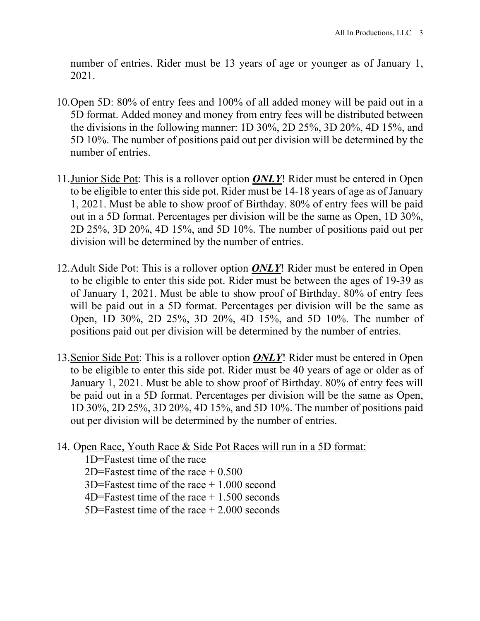number of entries. Rider must be 13 years of age or younger as of January 1, 2021.

- 10.Open 5D: 80% of entry fees and 100% of all added money will be paid out in a 5D format. Added money and money from entry fees will be distributed between the divisions in the following manner: 1D 30%, 2D 25%, 3D 20%, 4D 15%, and 5D 10%. The number of positions paid out per division will be determined by the number of entries.
- 11.Junior Side Pot: This is a rollover option *ONLY*! Rider must be entered in Open to be eligible to enter this side pot. Rider must be 14-18 years of age as of January 1, 2021. Must be able to show proof of Birthday. 80% of entry fees will be paid out in a 5D format. Percentages per division will be the same as Open, 1D 30%, 2D 25%, 3D 20%, 4D 15%, and 5D 10%. The number of positions paid out per division will be determined by the number of entries.
- 12.Adult Side Pot: This is a rollover option *ONLY*! Rider must be entered in Open to be eligible to enter this side pot. Rider must be between the ages of 19-39 as of January 1, 2021. Must be able to show proof of Birthday. 80% of entry fees will be paid out in a 5D format. Percentages per division will be the same as Open, 1D 30%, 2D 25%, 3D 20%, 4D 15%, and 5D 10%. The number of positions paid out per division will be determined by the number of entries.
- 13.Senior Side Pot: This is a rollover option *ONLY*! Rider must be entered in Open to be eligible to enter this side pot. Rider must be 40 years of age or older as of January 1, 2021. Must be able to show proof of Birthday. 80% of entry fees will be paid out in a 5D format. Percentages per division will be the same as Open, 1D 30%, 2D 25%, 3D 20%, 4D 15%, and 5D 10%. The number of positions paid out per division will be determined by the number of entries.
- 14. Open Race, Youth Race & Side Pot Races will run in a 5D format:

1D=Fastest time of the race 2D=Fastest time of the race  $+0.500$ 3D=Fastest time of the race + 1.000 second  $4D=Fastest$  time of the race  $+1.500$  seconds 5D=Fastest time of the race  $+2.000$  seconds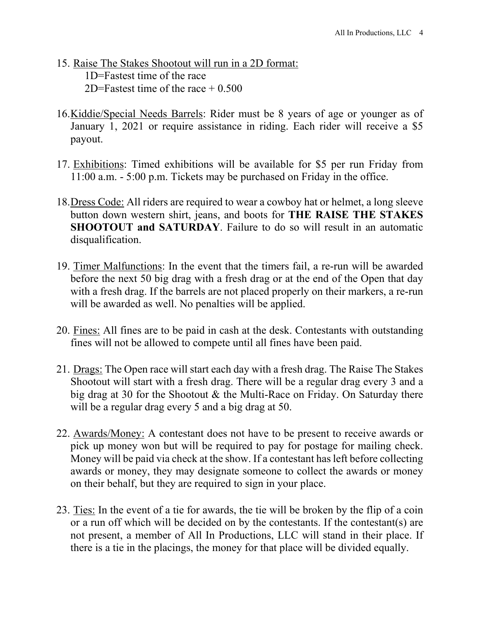- 15. Raise The Stakes Shootout will run in a 2D format: 1D=Fastest time of the race 2D=Fastest time of the race  $\pm 0.500$
- 16.Kiddie/Special Needs Barrels: Rider must be 8 years of age or younger as of January 1, 2021 or require assistance in riding. Each rider will receive a \$5 payout.
- 17. Exhibitions: Timed exhibitions will be available for \$5 per run Friday from 11:00 a.m. - 5:00 p.m. Tickets may be purchased on Friday in the office.
- 18.Dress Code: All riders are required to wear a cowboy hat or helmet, a long sleeve button down western shirt, jeans, and boots for **THE RAISE THE STAKES SHOOTOUT and SATURDAY**. Failure to do so will result in an automatic disqualification.
- 19. Timer Malfunctions: In the event that the timers fail, a re-run will be awarded before the next 50 big drag with a fresh drag or at the end of the Open that day with a fresh drag. If the barrels are not placed properly on their markers, a re-run will be awarded as well. No penalties will be applied.
- 20. Fines: All fines are to be paid in cash at the desk. Contestants with outstanding fines will not be allowed to compete until all fines have been paid.
- 21. Drags: The Open race will start each day with a fresh drag. The Raise The Stakes Shootout will start with a fresh drag. There will be a regular drag every 3 and a big drag at 30 for the Shootout & the Multi-Race on Friday. On Saturday there will be a regular drag every 5 and a big drag at 50.
- 22. Awards/Money: A contestant does not have to be present to receive awards or pick up money won but will be required to pay for postage for mailing check. Money will be paid via check at the show. If a contestant has left before collecting awards or money, they may designate someone to collect the awards or money on their behalf, but they are required to sign in your place.
- 23. Ties: In the event of a tie for awards, the tie will be broken by the flip of a coin or a run off which will be decided on by the contestants. If the contestant(s) are not present, a member of All In Productions, LLC will stand in their place. If there is a tie in the placings, the money for that place will be divided equally.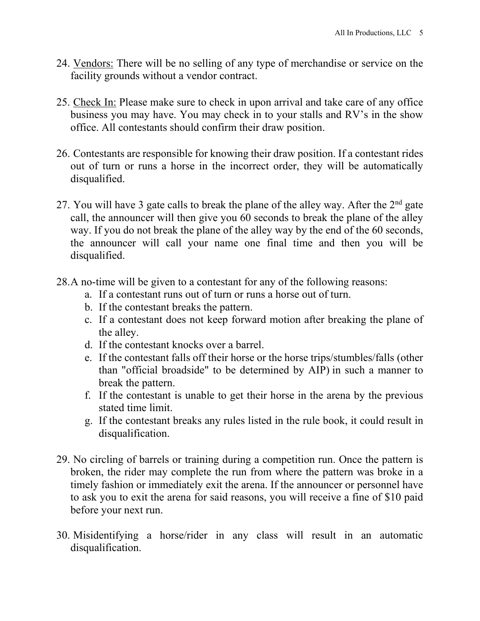- 24. Vendors: There will be no selling of any type of merchandise or service on the facility grounds without a vendor contract.
- 25. Check In: Please make sure to check in upon arrival and take care of any office business you may have. You may check in to your stalls and RV's in the show office. All contestants should confirm their draw position.
- 26. Contestants are responsible for knowing their draw position. If a contestant rides out of turn or runs a horse in the incorrect order, they will be automatically disqualified.
- 27. You will have 3 gate calls to break the plane of the alley way. After the  $2<sup>nd</sup>$  gate call, the announcer will then give you 60 seconds to break the plane of the alley way. If you do not break the plane of the alley way by the end of the 60 seconds, the announcer will call your name one final time and then you will be disqualified.
- 28.A no-time will be given to a contestant for any of the following reasons:
	- a. If a contestant runs out of turn or runs a horse out of turn.
	- b. If the contestant breaks the pattern.
	- c. If a contestant does not keep forward motion after breaking the plane of the alley.
	- d. If the contestant knocks over a barrel.
	- e. If the contestant falls off their horse or the horse trips/stumbles/falls (other than "official broadside" to be determined by AIP) in such a manner to break the pattern.
	- f. If the contestant is unable to get their horse in the arena by the previous stated time limit.
	- g. If the contestant breaks any rules listed in the rule book, it could result in disqualification.
- 29. No circling of barrels or training during a competition run. Once the pattern is broken, the rider may complete the run from where the pattern was broke in a timely fashion or immediately exit the arena. If the announcer or personnel have to ask you to exit the arena for said reasons, you will receive a fine of \$10 paid before your next run.
- 30. Misidentifying a horse/rider in any class will result in an automatic disqualification.